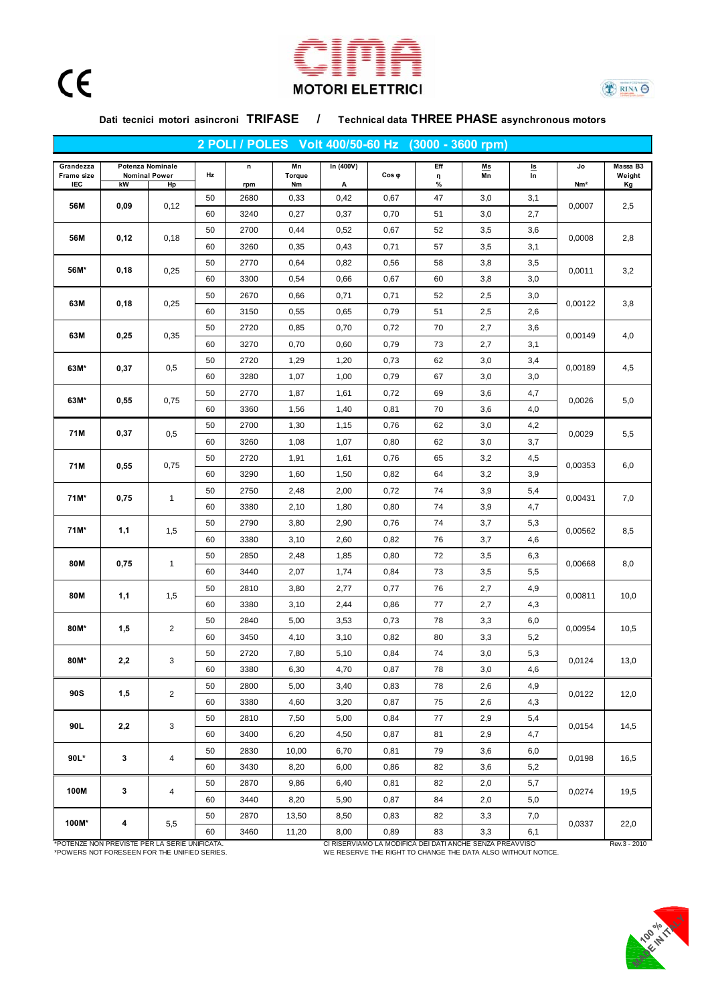





**Dati tecnici motori asincroni TRIFASE / Technical data THREE PHASE asynchronous motors**

**Grandezza n Mn In (400V) Eff Ms Is Jo Massa B3 Frame size Torque η Mn In Weight IEC kW Hp rpm Nm A % Nm² Kg** 50 2680 0,33 0,42 0,67 47 3,0 3,1 60 | 3240 | 0,27 | 0,37 | 0,70 | 51 | 3,0 | 2,7 50 | 2700 | 0,44 | 0,52 | 0,67 | 52 | 3,5 | 3,6 60 | 3260 | 0,35 | 0,43 | 0,71 | 57 | 3,5 | 3,1 50 2770 0,64 0,82 0,56 58 3,8 3,5 60 | 3300 | 0,54 | 0,66 | 0,67 | 60 | 3,8 | 3,0 50 2670 0,66 0,71 0,71 52 2,5 3,0 60 3150 0,55 0,65 0,79 51 2,5 2,6 50 2720 0,85 0,70 0,72 70 2,7 3,6 60 | 3270 | 0,70 | 0,60 | 0,79 | 73 | 2,7 | 3,1 50 2720 1,29 1,20 0,73 62 3,0 3,4 60 | 3280 | 1,07 | 1,00 | 0,79 | 67 | 3,0 | 3,0 50 2770 1,87 1,61 0,72 69 3,6 4,7 60 | 3360 | 1,56 | 1,40 | 0,81 | 70 | 3,6 | 4,0 50 2700 1,30 1,15 0,76 62 3,0 4,2 60 | 3260 | 1,08 | 1,07 | 0,80 | 62 | 3,0 | 3,7 50 2720 1,91 1,61 0,76 65 3,2 4,5 60 | 3290 | 1,60 | 1,50 | 0,82 | 64 | 3,2 | 3,9 50 2750 2,48 2,00 0,72 74 3,9 5,4 60 3380 2,10 1,80 0,80 74 3,9 4,7 50 2790 3,80 2,90 0,76 74 3,7 5,3 60 3380 3,10 2,60 0,82 76 3,7 4,6 50 2850 2,48 1,85 0,80 72 3,5 6,3 60 | 3440 | 2,07 | 1,74 | 0,84 | 73 | 3,5 | 5,5 50 2810 3,80 2,77 0,77 76 2,7 4,9 60 3380 3,10 2,44 0,86 77 2,7 4,3 50 2840 5,00 3,53 0,73 78 3,3 6,0 60 | 3450 | 4,10 | 3,10 | 0,82 | 80 | 3,3 | 5,2 50 2720 7,80 5,10 0,84 74 3,0 5,3 60 3380 6,30 4,70 0,87 78 3,0 4,6 50 2800 5,00 3,40 0,83 78 2,6 4,9 60 3380 4,60 3,20 0,87 75 2,6 4,3 50 2810 7,50 5,00 0,84 77 2,9 5,4 60 3400 6,20 4,50 0,87 81 2,9 4,7 50 | 2830 | 10,00 | 6,70 | 0,81 | 79 | 3,6 | 6,0 60 | 3430 | 8,20 | 6,00 | 0,86 | 82 | 3,6 | 5,2 50 2870 9,86 6,40 0,81 82 2,0 5,7 60 | 3440 | 8,20 | 5,90 | 0,87 | 84 | 2,0 | 5,0 50 2870 13,50 8,50 0,83 82 3,3 7,0 60 | 3460 | 11,20 | 8,00 | 0,89 | 83 | 3,3 | 6,1 19,5 **100M\*** | **4** | 5,5 <del>| | | | | | | | | | | | | | | | |</del> 0,0337 | 22,0 **100M 3** 4 0,0274 14,5 **90L\* 3** 4 0,0198 16,5 **90L 2,2** 3 0,0154 13,0 **90S 1,5** 2 0,0122 12,0 **80M\* 2,2** 3 0,0124 10,0 **80M\* | 1,5 | 2 <del>| | | | | | |</del> 0,00954 | 10,5 80M 1,1** 1,5 <del>coloration is a coloration in the set o</del>f 0,00811 8,5 **80M decision in the contract of the contract of the contract of the contract of the contract of the contract of the contract of the contract of the contract of the contract of the contract of the contract of the contrac 71M\* 1,1** 1,5 0,00562 6,0 **71M\* 0,75** 1 0,00431 7,0 **71M 0,55** 0,75 <del>contract because the state of the state of the distribution of the distribution of the distribution of the distribution of the distribution of the distribution of the distribution of the distribution of </del> 5,0 **71M 0,37** | 0,5 <del>| | | | | | | | | | | | |</del> 0,0029 | 5,5 **63M\* 0,55** 0,75 <del>contract to the state of the state of the state of the state of the state of the state of the state of the state of the state of the state of the state of the state of the state of the state of the stat</del> 4,0 **63M\*** | 0,37 | 0,5 <del>| | | | | | | | | | | | | | |</del> | 0,00189 | 4,5 **63M 0,25** 0,35 <del>contract to the function of the function</del> of 0,00149 3,2 **63M 0,18** 0,25 0,00122 3,8 **56M\* 0,18** 0,25 0,0011 0,0007 2,5 **56M 0,12 0**,18 <del>decision in the state of the state of the state of the state of the state of the state of the state of the state of the state of the state of the state of the state of the state of the state of the sta</del> **56M 0,09** 0,12 **Hz 2 POLI / POLES Volt 400/50-60 Hz (3000 - 3600 rpm) Potenza Nominale Nominal Power Cos p**<br> **Cos a**<br> **Cos p**<br> **Cos p**<br> **Cos p**<br> **Cos p**<br> **Cos p**<br> **Cos p**<br> **Cos p**<br> **Cos p** 

\*POTENZE NON PREVISTE PER LA SERIE UNIFICATA. CI RISERVIAMO LA MODIFICA DEI DATI ANCHE SENZA PREAVVISO Rev.3 - 2010 \*POWERS NOT FORESEEN FOR THE UNIFIED SERIES. WE RESERVE THE RIGHT TO CHANGE THE DATA ALSO WITHOUT NOTICE.